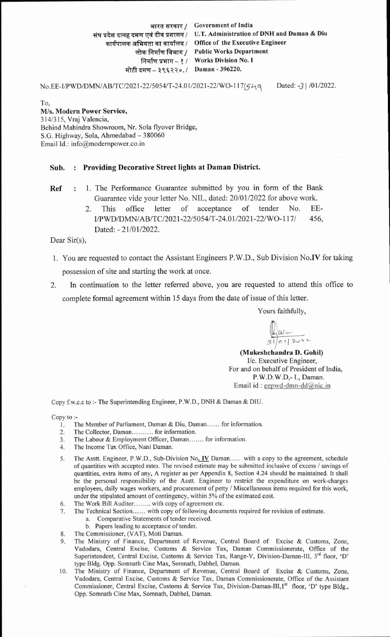भारत सरकार / Government of India संघ प्रदेश दानह दमण एवं दीव प्रशासन / U.T. Administration of DNH and Daman & Diu & **a;l qi&qq 1** Omce of the Executive Engineer कार्यपालक अभियता का कार्यालय / Office of the Executive Engineer<br>लोक निर्माण विभाग / Public Works Department तिर्माण प्रभाग - १ / Works Division No. I *rhffw-* **39\;1;10.1** Daman - **396220.** 

No.EE-I/PWD/DMN/AB/TC/2021-22/5054/T-24.01/2021-22/WO-117/54q Dated: -3 ) /01/2022.

To, M/s. Modern Power Service, 314/315, Vraj Valencia, Behind Mahindra Showroom, Nr. Sola flyover Bridge, S.G. Highway, Sola, Ahmedabad - 380060 Email Id.: info@modempower.co.in

## Sub. : Providing Decorative Street lights at Daman District.

Ref : 1. The Performance Guarantee submitted by you in form of the Bank Guarantee vide your letter No. NIL, dated: 20/01/2022 for above work.

> 2. This office letter of acceptance of tender No. EE-**IIPWD/DMNIABiTC/2021-22/5054/T-24.01/2021-22/WO-117/ 456,**  Dated: - 21/01/2022.

Dear Sir(s),

- 1. You are requested to contact the Assistant Engineers P.W.D., Sub Division N0.W for taking possession of site and starting the work at once.
- 2. In continuation to the letter referred above, you are requested to attend this office to complete formal agreement within 15 days from the date of issue of this letter.

Yours faithfully,

**I**  (Mukeshchandra D. Gohil) I/c. Executive Engineer, For and on behalf of President of India, P.W.D.W.D,- I., Daman. Email id : eepwd-dmn-dd $@$ nic.in

Copy f.w.c.c to :- The Superintending Engineer, P.W.D.. DNH & Daman & DIU.

Copy to :-

- 1. The Member of Parliament, Daman & Diu, Daman...... for information.
- 2. The Collector, Daman........... for information.
- 3. The Labour & Employment Officer, Daman....... for information.
- **4.** The Income Tax Office, Nani Daman.
- 5. The Asstt. Engineer, P.W.D., Sub-Division No. IV Daman ..... with a copy to the agreement, schedule of quantities with accepted rates. The revised estimate may be submitted inclusive of excess / savings of quantities, extra items of any, A register as per Appendix 8, Section 4.24 should be maintained. It shall be the personal responsibility of the Asstt. Engineer to restrict the expenditure on work-charges employees, daily wages workers, and procurement of petty / Miscellaneous items required for this work, under the stipulated amount of contingency, within 5% of the estimated cost.
- **6.** The Work Bill Auditor ........ with copy of agreement etc.
- 7. The Technical Section ...... with copy of following documents required for revision of estimate.
	- a. Comparative Statements of tender received.
- b. Papers leading to acceptance of tender. **8.** The Commissioner, (VAT), Moti Daman.
- 9. The Ministry of Finance, Department of Revenue, Central Board of Excise & Customs, Zone, Vadodara, Central Excise, Customs & Service Tax, Daman Commissionerate, Office of the Superintendent, Central Excise, Customs & Service Tax, Range-V, Division-Daman-111, **3rd** floor, 'D' type Bldg. Opp. Somnath Cine Max, Somnath, Dabhel, Daman.
- 10. The Ministry of Finance, Department of Revenue, Central Board of Excise & Customs, Zone, Vadodara, Central Excise, Customs & Service Tax, Daman Commissionerate, Office of the Assistant Commissioner, Central Excise, Customs & Service Tax, Division-Daman-III,1<sup>st</sup> floor, 'D' type Bldg., Opp. Somnath Cine Max, Somnath, Dabhel, Daman.